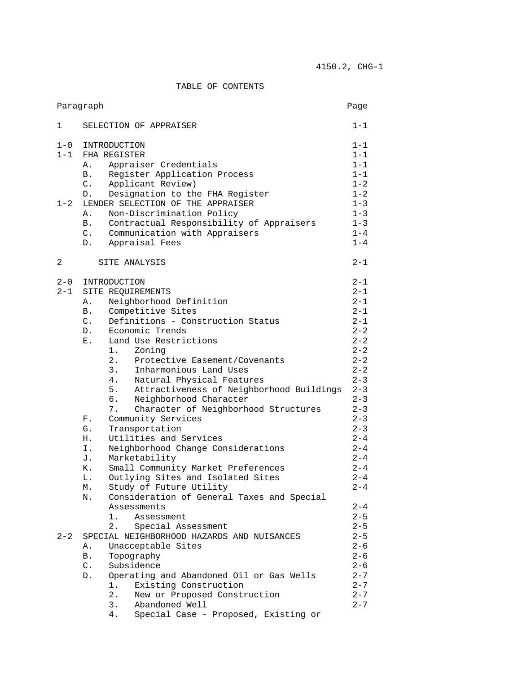## TABLE OF CONTENTS

| Paragraph<br>Page |                                                  |                    |
|-------------------|--------------------------------------------------|--------------------|
| 1                 | SELECTION OF APPRAISER                           | $1 - 1$            |
| $1 - 0$           | INTRODUCTION                                     | $1 - 1$            |
| $1 - 1$           | FHA REGISTER                                     | $1 - 1$            |
|                   | Appraiser Credentials<br>Α.                      | $1 - 1$            |
|                   | Register Application Process<br>В.               | $1 - 1$            |
|                   | Applicant Review)<br>$C$ .                       | $1 - 2$            |
|                   | D.<br>Designation to the FHA Register            | $1 - 2$            |
| $1 - 2$           | LENDER SELECTION OF THE APPRAISER                | $1 - 3$            |
|                   | Non-Discrimination Policy<br>Α.                  | $1 - 3$            |
|                   | Contractual Responsibility of Appraisers<br>B.   | $1 - 3$            |
|                   | $C$ .<br>Communication with Appraisers           | $1 - 4$            |
|                   | Appraisal Fees<br>$D$ .                          | $1 - 4$            |
| 2                 | SITE ANALYSIS                                    | $2 - 1$            |
|                   |                                                  |                    |
| $2 - 0$           | INTRODUCTION                                     | $2 - 1$<br>$2 - 1$ |
| 2-1               | SITE REQUIREMENTS                                |                    |
|                   | Neighborhood Definition<br>Α.                    | $2 - 1$            |
|                   | Competitive Sites<br><b>B</b> .                  | $2 - 1$            |
|                   | Definitions - Construction Status<br>$C$ .       | $2 - 1$            |
|                   | Economic Trends<br>D.<br>Land Use Restrictions   | $2 - 2$            |
|                   | Ε.                                               | $2 - 2$            |
|                   | Zoning                                           | $2 - 2$            |
|                   | 2.<br>Protective Easement/Covenants              | $2 - 2$            |
|                   | 3.<br>Inharmonious Land Uses                     | $2 - 2$            |
|                   | 4.<br>Natural Physical Features                  | $2 - 3$            |
|                   | Attractiveness of Neighborhood Buildings<br>5.   | $2 - 3$            |
|                   | 6.<br>Neighborhood Character                     | $2 - 3$            |
|                   | Character of Neighborhood Structures<br>7.       | $2 - 3$            |
|                   | Community Services<br>F.                         | $2 - 3$            |
|                   | G.<br>Transportation                             | $2 - 3$            |
|                   | Utilities and Services<br>Н.                     | $2 - 4$            |
|                   | Neighborhood Change Considerations<br>Ι.         | $2 - 4$            |
|                   | Marketability<br>J.                              | $2 - 4$            |
|                   | Small Community Market Preferences<br>Κ.         | $2 - 4$            |
|                   | Outlying Sites and Isolated Sites<br>L.          | $2 - 4$            |
|                   | Study of Future Utility<br>М.                    | $2 - 4$            |
|                   | Consideration of General Taxes and Special<br>Ν. |                    |
|                   | Assessments                                      | $2 - 4$            |
|                   | 1. .<br>Assessment                               | $2 - 5$            |
|                   | 2.<br>Special Assessment                         | $2 - 5$            |
| $2 - 2$           | SPECIAL NEIGHBORHOOD HAZARDS AND NUISANCES       | $2 - 5$            |
|                   | Unacceptable Sites<br>Α.                         | $2 - 6$            |
|                   | Topography<br>В.                                 | $2 - 6$            |
|                   | $\mathbb{C}$ .<br>Subsidence                     | $2 - 6$            |
|                   | Operating and Abandoned Oil or Gas Wells<br>D.   | $2 - 7$            |
|                   | Existing Construction<br>1.                      | $2 - 7$            |
|                   | 2.<br>New or Proposed Construction               | $2 - 7$            |
|                   | 3.<br>Abandoned Well                             | $2 - 7$            |
|                   | Special Case - Proposed, Existing or<br>4.       |                    |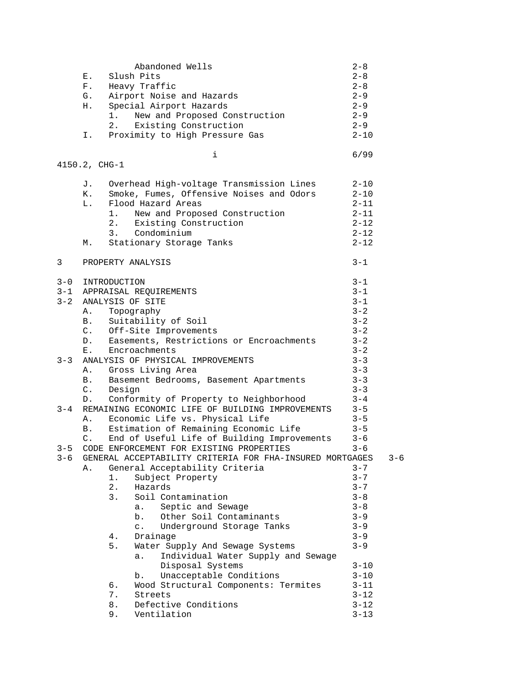|                    | Ε.<br>F.<br>G.<br>Н.<br>Ι.              | 1.<br>2.                                              | Abandoned Wells<br>Slush Pits<br>Heavy Traffic<br>Airport Noise and Hazards<br>Special Airport Hazards<br>New and Proposed Construction<br>Existing Construction<br>Proximity to High Pressure Gas<br>i                                                                                                                                                                                                                                                                                                                                          | $2 - 8$<br>$2 - 8$<br>$2 - 8$<br>$2 - 9$<br>$2 - 9$<br>$2 - 9$<br>$2 - 9$<br>$2 - 10$<br>6/99                                                                                      |         |
|--------------------|-----------------------------------------|-------------------------------------------------------|--------------------------------------------------------------------------------------------------------------------------------------------------------------------------------------------------------------------------------------------------------------------------------------------------------------------------------------------------------------------------------------------------------------------------------------------------------------------------------------------------------------------------------------------------|------------------------------------------------------------------------------------------------------------------------------------------------------------------------------------|---------|
|                    | 4150.2, CHG-1                           |                                                       |                                                                                                                                                                                                                                                                                                                                                                                                                                                                                                                                                  |                                                                                                                                                                                    |         |
|                    | J.<br>K.<br>$L_{\bullet}$ .<br>М.       | 1.<br>2.<br>3.                                        | Overhead High-voltage Transmission Lines<br>Smoke, Fumes, Offensive Noises and Odors<br>Flood Hazard Areas<br>New and Proposed Construction<br>Existing Construction<br>Condominium<br>Stationary Storage Tanks                                                                                                                                                                                                                                                                                                                                  | $2 - 10$<br>$2 - 10$<br>$2 - 11$<br>$2 - 11$<br>$2 - 12$<br>$2 - 12$<br>$2 - 12$                                                                                                   |         |
| 3                  |                                         |                                                       | PROPERTY ANALYSIS                                                                                                                                                                                                                                                                                                                                                                                                                                                                                                                                | $3 - 1$                                                                                                                                                                            |         |
| $3 - 0$<br>$3 - 2$ | Α.<br>B.<br>C.<br>D.<br>$E_{\rm{1}}$    | INTRODUCTION                                          | 3-1 APPRAISAL REQUIREMENTS<br>ANALYSIS OF SITE<br>Topography<br>Suitability of Soil<br>Off-Site Improvements<br>Easements, Restrictions or Encroachments<br>Encroachments                                                                                                                                                                                                                                                                                                                                                                        | $3 - 1$<br>$3 - 1$<br>$3 - 1$<br>$3 - 2$<br>$3 - 2$<br>$3 - 2$<br>$3 - 2$<br>$3 - 2$                                                                                               |         |
| $3 - 3$            | Α.<br><b>B</b> .<br>$C_{\bullet}$<br>D. | Design                                                | ANALYSIS OF PHYSICAL IMPROVEMENTS<br>Gross Living Area<br>Basement Bedrooms, Basement Apartments<br>Conformity of Property to Neighborhood                                                                                                                                                                                                                                                                                                                                                                                                       | $3 - 3$<br>$3 - 3$<br>$3 - 3$<br>$3 - 3$<br>$3 - 4$                                                                                                                                |         |
| $3 - 4$            | Α.<br>B.<br>C.                          |                                                       | REMAINING ECONOMIC LIFE OF BUILDING IMPROVEMENTS<br>Economic Life vs. Physical Life<br>Estimation of Remaining Economic Life<br>End of Useful Life of Building Improvements                                                                                                                                                                                                                                                                                                                                                                      | $3 - 5$<br>$3 - 5$<br>$3 - 5$<br>$3 - 6$                                                                                                                                           |         |
| $3 - 5$<br>$3 - 6$ | Α.                                      | 1.<br>$2$ .<br>3.<br>4.<br>5.<br>б.<br>7.<br>8.<br>9. | CODE ENFORCEMENT FOR EXISTING PROPERTIES<br>GENERAL ACCEPTABILITY CRITERIA FOR FHA-INSURED MORTGAGES<br>General Acceptability Criteria<br>Subject Property<br>Hazards<br>Soil Contamination<br>Septic and Sewage<br>а.<br>Other Soil Contaminants<br>b.<br>Underground Storage Tanks<br>$\mathsf{C}$ .<br>Drainage<br>Water Supply And Sewage Systems<br>Individual Water Supply and Sewage<br>a.<br>Disposal Systems<br>Unacceptable Conditions<br>b.<br>Wood Structural Components: Termites<br>Streets<br>Defective Conditions<br>Ventilation | $3 - 6$<br>$3 - 7$<br>$3 - 7$<br>$3 - 7$<br>$3 - 8$<br>$3 - 8$<br>$3 - 9$<br>$3 - 9$<br>$3 - 9$<br>$3 - 9$<br>$3 - 10$<br>$3 - 10$<br>$3 - 11$<br>$3 - 12$<br>$3 - 12$<br>$3 - 13$ | $3 - 6$ |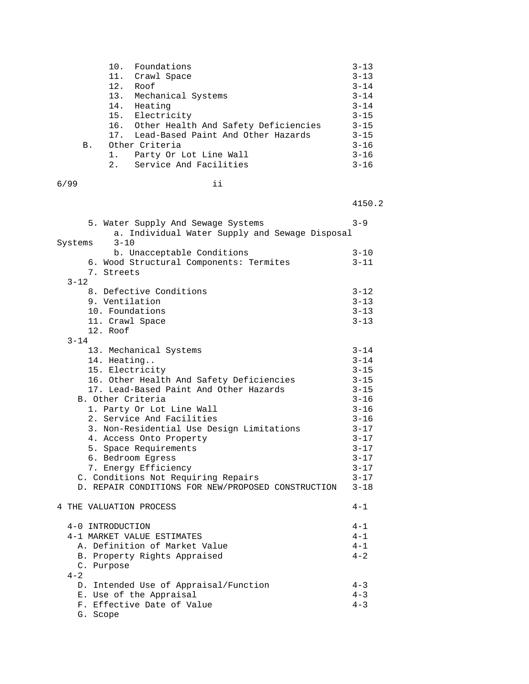|    |     | 10. Foundations                          | $3 - 13$ |
|----|-----|------------------------------------------|----------|
|    |     | 11. Crawl Space                          | $3 - 13$ |
|    | 12. | Roof                                     | $3 - 14$ |
|    |     | 13. Mechanical Systems                   | $3 - 14$ |
|    | 14. | Heating                                  | $3 - 14$ |
|    |     | 15. Electricity                          | $3 - 15$ |
|    |     | 16. Other Health And Safety Deficiencies | $3 - 15$ |
|    |     | 17. Lead-Based Paint And Other Hazards   | $3 - 15$ |
| В. |     | Other Criteria                           | $3 - 16$ |
|    | 1.  | Party Or Lot Line Wall                   | $3 - 16$ |
|    |     | 2. Service And Facilities                | $3 - 16$ |

| 6/99 |  |
|------|--|
|------|--|

4150.2

| 5. Water Supply And Sewage Systems<br>a. Individual Water Supply and Sewage Disposal                                                                                                                                                                                                                                                                                                                                                                                     | $3 - 9$                                                                                                                                                                          |
|--------------------------------------------------------------------------------------------------------------------------------------------------------------------------------------------------------------------------------------------------------------------------------------------------------------------------------------------------------------------------------------------------------------------------------------------------------------------------|----------------------------------------------------------------------------------------------------------------------------------------------------------------------------------|
| $3 - 10$<br>Systems<br>b. Unacceptable Conditions<br>6. Wood Structural Components: Termites<br>7. Streets<br>$3 - 12$                                                                                                                                                                                                                                                                                                                                                   | $3 - 10$<br>$3 - 11$                                                                                                                                                             |
| 8. Defective Conditions<br>9. Ventilation<br>10. Foundations<br>11. Crawl Space<br>12. Roof<br>$3 - 14$                                                                                                                                                                                                                                                                                                                                                                  | $3 - 12$<br>$3 - 13$<br>$3 - 13$<br>$3 - 13$                                                                                                                                     |
| 13. Mechanical Systems<br>14. Heating<br>15. Electricity<br>16. Other Health And Safety Deficiencies<br>17. Lead-Based Paint And Other Hazards<br>B. Other Criteria<br>1. Party Or Lot Line Wall<br>2. Service And Facilities<br>3. Non-Residential Use Design Limitations<br>4. Access Onto Property<br>5. Space Requirements<br>6. Bedroom Egress<br>7. Energy Efficiency<br>C. Conditions Not Requiring Repairs<br>D. REPAIR CONDITIONS FOR NEW/PROPOSED CONSTRUCTION | $3 - 14$<br>$3 - 14$<br>$3 - 15$<br>$3 - 15$<br>$3 - 15$<br>$3 - 16$<br>$3 - 16$<br>$3 - 16$<br>$3 - 17$<br>$3 - 17$<br>$3 - 17$<br>$3 - 17$<br>$3 - 17$<br>$3 - 17$<br>$3 - 18$ |
| 4 THE VALUATION PROCESS                                                                                                                                                                                                                                                                                                                                                                                                                                                  | $4 - 1$                                                                                                                                                                          |
| 4-0 INTRODUCTION<br>4-1 MARKET VALUE ESTIMATES<br>A. Definition of Market Value<br>B. Property Rights Appraised<br>C. Purpose<br>$4 - 2$                                                                                                                                                                                                                                                                                                                                 | $4 - 1$<br>$4 - 1$<br>$4 - 1$<br>$4 - 2$                                                                                                                                         |
| D. Intended Use of Appraisal/Function<br>E. Use of the Appraisal<br>F. Effective Date of Value<br>G. Scope                                                                                                                                                                                                                                                                                                                                                               | $4 - 3$<br>$4 - 3$<br>$4 - 3$                                                                                                                                                    |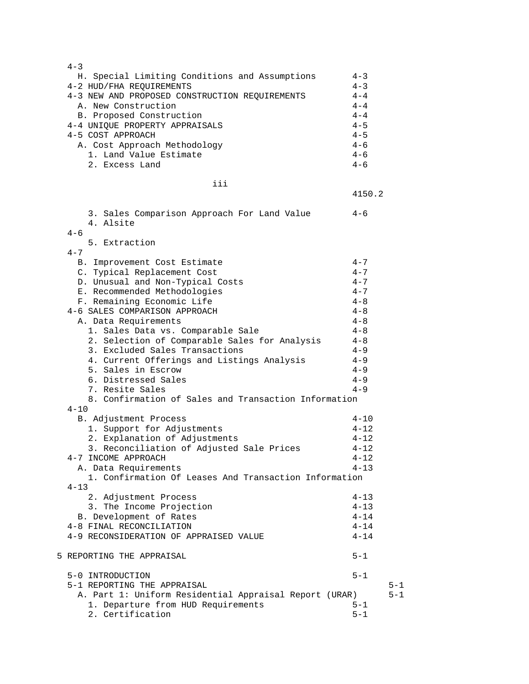| $4 - 3$                                                |          |         |
|--------------------------------------------------------|----------|---------|
| H. Special Limiting Conditions and Assumptions         | $4 - 3$  |         |
| 4-2 HUD/FHA REQUIREMENTS                               | $4 - 3$  |         |
| 4-3 NEW AND PROPOSED CONSTRUCTION REQUIREMENTS         | $4 - 4$  |         |
| A. New Construction                                    | $4 - 4$  |         |
|                                                        | $4 - 4$  |         |
| B. Proposed Construction                               |          |         |
| 4-4 UNIQUE PROPERTY APPRAISALS                         | $4 - 5$  |         |
| 4-5 COST APPROACH                                      | $4 - 5$  |         |
| A. Cost Approach Methodology                           | $4 - 6$  |         |
| 1. Land Value Estimate                                 | $4 - 6$  |         |
| 2. Excess Land                                         | $4 - 6$  |         |
|                                                        |          |         |
| iii                                                    |          |         |
|                                                        | 4150.2   |         |
|                                                        |          |         |
| 3. Sales Comparison Approach For Land Value            | $4 - 6$  |         |
| 4. Alsite                                              |          |         |
| $4 - 6$                                                |          |         |
|                                                        |          |         |
| 5. Extraction                                          |          |         |
| $4 - 7$                                                |          |         |
| B. Improvement Cost Estimate                           | $4 - 7$  |         |
| C. Typical Replacement Cost                            | $4 - 7$  |         |
| D. Unusual and Non-Typical Costs                       | $4 - 7$  |         |
| E. Recommended Methodologies                           | $4 - 7$  |         |
| F. Remaining Economic Life                             | $4 - 8$  |         |
| 4-6 SALES COMPARISON APPROACH                          | $4 - 8$  |         |
|                                                        | $4 - 8$  |         |
| A. Data Requirements                                   |          |         |
| 1. Sales Data vs. Comparable Sale                      | $4 - 8$  |         |
| 2. Selection of Comparable Sales for Analysis          | $4 - 8$  |         |
| 3. Excluded Sales Transactions                         | $4 - 9$  |         |
| 4. Current Offerings and Listings Analysis             | $4 - 9$  |         |
| 5. Sales in Escrow                                     | $4 - 9$  |         |
| 6. Distressed Sales                                    | $4 - 9$  |         |
| 7. Resite Sales                                        | $4 - 9$  |         |
| 8. Confirmation of Sales and Transaction Information   |          |         |
| $4 - 10$                                               |          |         |
|                                                        |          |         |
| B. Adjustment Process                                  | $4 - 10$ |         |
| 1. Support for Adjustments                             | $4 - 12$ |         |
| 2. Explanation of Adjustments                          | $4 - 12$ |         |
| 3. Reconciliation of Adjusted Sale Prices              | $4 - 12$ |         |
| 4-7 INCOME APPROACH                                    | $4 - 12$ |         |
| A. Data Requirements                                   | $4 - 13$ |         |
| 1. Confirmation Of Leases And Transaction Information  |          |         |
| $4 - 13$                                               |          |         |
| 2. Adjustment Process                                  | $4 - 13$ |         |
|                                                        |          |         |
| 3. The Income Projection                               | $4 - 13$ |         |
| B. Development of Rates                                | $4 - 14$ |         |
| 4-8 FINAL RECONCILIATION                               | $4 - 14$ |         |
| 4-9 RECONSIDERATION OF APPRAISED VALUE                 | $4 - 14$ |         |
|                                                        |          |         |
| 5 REPORTING THE APPRAISAL                              | $5 - 1$  |         |
|                                                        |          |         |
| 5-0 INTRODUCTION                                       | $5 - 1$  |         |
| 5-1 REPORTING THE APPRAISAL                            |          | $5 - 1$ |
| A. Part 1: Uniform Residential Appraisal Report (URAR) |          | $5 - 1$ |
| 1. Departure from HUD Requirements                     | $5 - 1$  |         |
| 2. Certification                                       | $5 - 1$  |         |
|                                                        |          |         |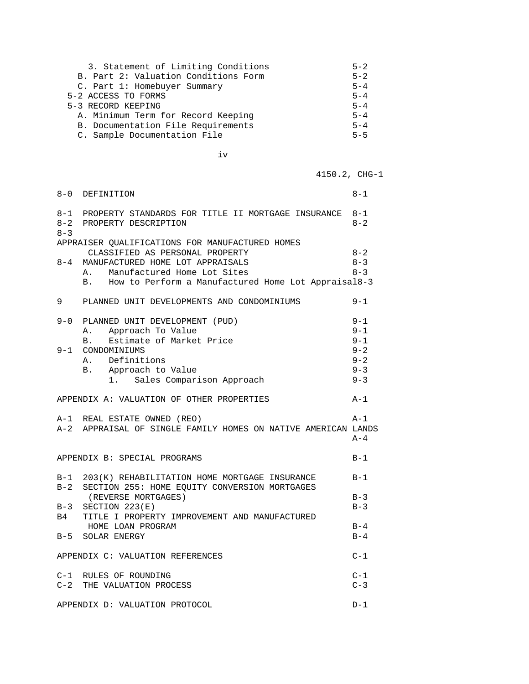| 3. Statement of Limiting Conditions  | $5 - 2$ |
|--------------------------------------|---------|
| B. Part 2: Valuation Conditions Form | $5 - 2$ |
| C. Part 1: Homebuyer Summary         | $5 - 4$ |
| 5-2 ACCESS TO FORMS                  | $5 - 4$ |
| 5-3 RECORD KEEPING                   | $5 - 4$ |
| A. Minimum Term for Record Keeping   | $5 - 4$ |
| B. Documentation File Requirements   | $5 - 4$ |
| C. Sample Documentation File         | $5 - 5$ |
|                                      |         |

iv

4150.2, CHG-1

| 8-0                                                | DEFINITION                                                                                         | $8 - 1$            |
|----------------------------------------------------|----------------------------------------------------------------------------------------------------|--------------------|
| $8 - 3$                                            | 8-1 PROPERTY STANDARDS FOR TITLE II MORTGAGE INSURANCE<br>8-2 PROPERTY DESCRIPTION                 | $8 - 1$<br>$8 - 2$ |
|                                                    | APPRAISER QUALIFICATIONS FOR MANUFACTURED HOMES                                                    |                    |
|                                                    | CLASSIFIED AS PERSONAL PROPERTY                                                                    | $8 - 2$            |
| $8 - 4$                                            | MANUFACTURED HOME LOT APPRAISALS                                                                   | $8 - 3$            |
|                                                    | A. Manufactured Home Lot Sites                                                                     | $8 - 3$            |
|                                                    | B. How to Perform a Manufactured Home Lot Appraisal8-3                                             |                    |
| 9                                                  | PLANNED UNIT DEVELOPMENTS AND CONDOMINIUMS                                                         | $9 - 1$            |
|                                                    | 9-0 PLANNED UNIT DEVELOPMENT (PUD)                                                                 | $9 - 1$            |
|                                                    | Approach To Value<br>Α.                                                                            | $9 - 1$            |
|                                                    | Estimate of Market Price<br><b>B</b> .                                                             | $9 - 1$            |
|                                                    | 9-1 CONDOMINIUMS                                                                                   | $9 - 2$            |
|                                                    | A. Definitions                                                                                     | $9 - 2$            |
|                                                    | B. Approach to Value                                                                               | $9 - 3$            |
|                                                    | 1. Sales Comparison Approach                                                                       | $9 - 3$            |
| APPENDIX A: VALUATION OF OTHER PROPERTIES<br>$A-1$ |                                                                                                    |                    |
|                                                    | A-1 REAL ESTATE OWNED (REO)                                                                        | $A-1$              |
|                                                    | A-2 APPRAISAL OF SINGLE FAMILY HOMES ON NATIVE AMERICAN LANDS                                      | $A - 4$            |
|                                                    | APPENDIX B: SPECIAL PROGRAMS                                                                       | $B-1$              |
| $B-2$                                              | B-1 203(K) REHABILITATION HOME MORTGAGE INSURANCE<br>SECTION 255: HOME EQUITY CONVERSION MORTGAGES | $B-1$              |
|                                                    | (REVERSE MORTGAGES)                                                                                | $B-3$              |
|                                                    | $B-3$ SECTION 223(E)                                                                               | $B-3$              |
|                                                    | B4 TITLE I PROPERTY IMPROVEMENT AND MANUFACTURED                                                   |                    |
|                                                    | HOME LOAN PROGRAM                                                                                  | $B-4$              |
|                                                    | B-5 SOLAR ENERGY                                                                                   | $B-4$              |
|                                                    | APPENDIX C: VALUATION REFERENCES                                                                   | $C-1$              |
|                                                    | C-1 RULES OF ROUNDING                                                                              | $C-1$              |
|                                                    | C-2 THE VALUATION PROCESS                                                                          | $C-3$              |
|                                                    | APPENDIX D: VALUATION PROTOCOL                                                                     | $D-1$              |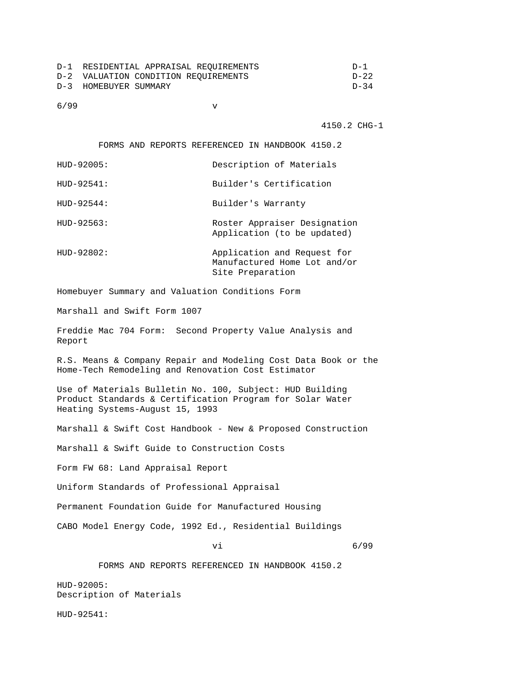| D-1 RESIDENTIAL APPRAISAL REOUIREMENTS | D-1      |
|----------------------------------------|----------|
| D-2 VALUATION CONDITION REOUIREMENTS   | D-22     |
| D-3 HOMEBUYER SUMMARY                  | $D - 34$ |

6/99 v

4150.2 CHG-1

FORMS AND REPORTS REFERENCED IN HANDBOOK 4150.2

| HUD-92005:     | Description of Materials                                                        |
|----------------|---------------------------------------------------------------------------------|
| HUD-92541:     | Builder's Certification                                                         |
| $HUD-92544:$   | Builder's Warranty                                                              |
| $HUD-92563:$   | Roster Appraiser Designation<br>Application (to be updated)                     |
| $HUD - 92802:$ | Application and Request for<br>Manufactured Home Lot and/or<br>Site Preparation |

Homebuyer Summary and Valuation Conditions Form

Marshall and Swift Form 1007

Freddie Mac 704 Form: Second Property Value Analysis and Report

R.S. Means & Company Repair and Modeling Cost Data Book or the Home-Tech Remodeling and Renovation Cost Estimator

Use of Materials Bulletin No. 100, Subject: HUD Building Product Standards & Certification Program for Solar Water Heating Systems-August 15, 1993

Marshall & Swift Cost Handbook - New & Proposed Construction

Marshall & Swift Guide to Construction Costs

Form FW 68: Land Appraisal Report

Uniform Standards of Professional Appraisal

Permanent Foundation Guide for Manufactured Housing

CABO Model Energy Code, 1992 Ed., Residential Buildings

vi 6/99

FORMS AND REPORTS REFERENCED IN HANDBOOK 4150.2

HUD-92005: Description of Materials

HUD-92541: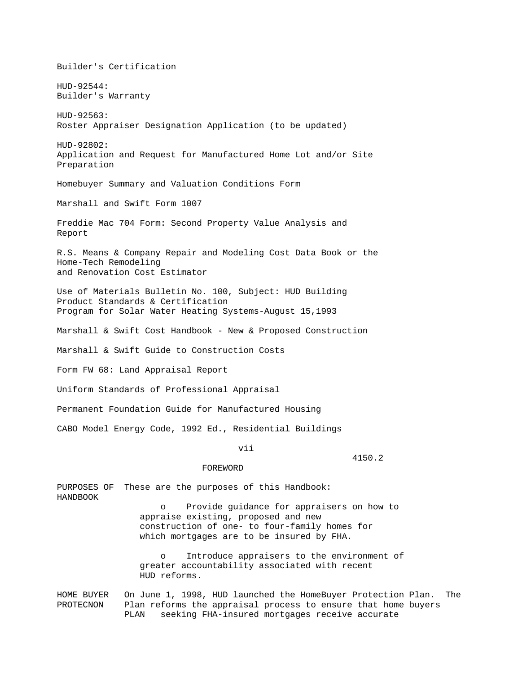Builder's Certification HUD-92544: Builder's Warranty HUD-92563: Roster Appraiser Designation Application (to be updated) HUD-92802: Application and Request for Manufactured Home Lot and/or Site Preparation Homebuyer Summary and Valuation Conditions Form Marshall and Swift Form 1007 Freddie Mac 704 Form: Second Property Value Analysis and Report R.S. Means & Company Repair and Modeling Cost Data Book or the Home-Tech Remodeling and Renovation Cost Estimator Use of Materials Bulletin No. 100, Subject: HUD Building Product Standards & Certification Program for Solar Water Heating Systems-August 15,1993 Marshall & Swift Cost Handbook - New & Proposed Construction Marshall & Swift Guide to Construction Costs Form FW 68: Land Appraisal Report Uniform Standards of Professional Appraisal Permanent Foundation Guide for Manufactured Housing CABO Model Energy Code, 1992 Ed., Residential Buildings vii 4150.2 FOREWORD PURPOSES OF These are the purposes of this Handbook: HANDBOOK o Provide guidance for appraisers on how to appraise existing, proposed and new construction of one- to four-family homes for which mortgages are to be insured by FHA. o Introduce appraisers to the environment of greater accountability associated with recent

HOME BUYER On June 1, 1998, HUD launched the HomeBuyer Protection Plan. The PROTECNON Plan reforms the appraisal process to ensure that home buyers PLAN seeking FHA-insured mortgages receive accurate

HUD reforms.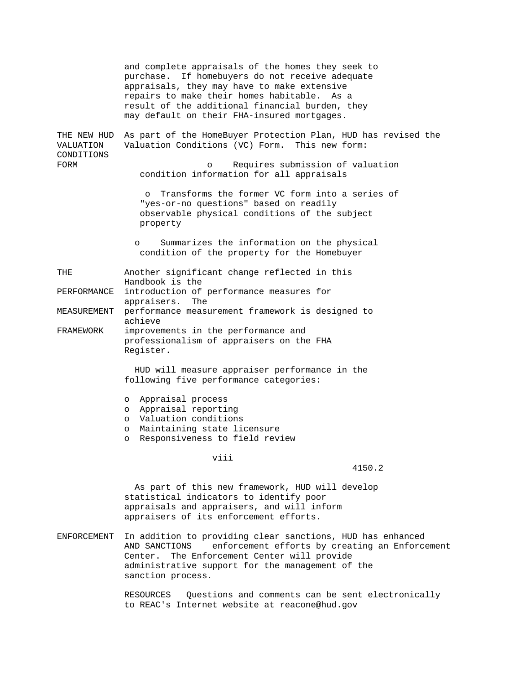and complete appraisals of the homes they seek to purchase. If homebuyers do not receive adequate appraisals, they may have to make extensive repairs to make their homes habitable. As a result of the additional financial burden, they may default on their FHA-insured mortgages. THE NEW HUD As part of the HomeBuyer Protection Plan, HUD has revised the VALUATION Valuation Conditions (VC) Form. This new form: CONDITIONS FORM **EXECUTE:** TORM **PORM o** Requires submission of valuation condition information for all appraisals o Transforms the former VC form into a series of "yes-or-no questions" based on readily observable physical conditions of the subject property o Summarizes the information on the physical condition of the property for the Homebuyer THE Another significant change reflected in this Handbook is the PERFORMANCE introduction of performance measures for appraisers. The MEASUREMENT performance measurement framework is designed to achieve FRAMEWORK improvements in the performance and professionalism of appraisers on the FHA Register. HUD will measure appraiser performance in the following five performance categories: o Appraisal process o Appraisal reporting o Valuation conditions o Maintaining state licensure o Responsiveness to field review viii 4150.2 As part of this new framework, HUD will develop

 statistical indicators to identify poor appraisals and appraisers, and will inform appraisers of its enforcement efforts.

ENFORCEMENT In addition to providing clear sanctions, HUD has enhanced AND SANCTIONS enforcement efforts by creating an Enforcement Center. The Enforcement Center will provide administrative support for the management of the sanction process.

> RESOURCES Questions and comments can be sent electronically to REAC's Internet website at reacone@hud.gov